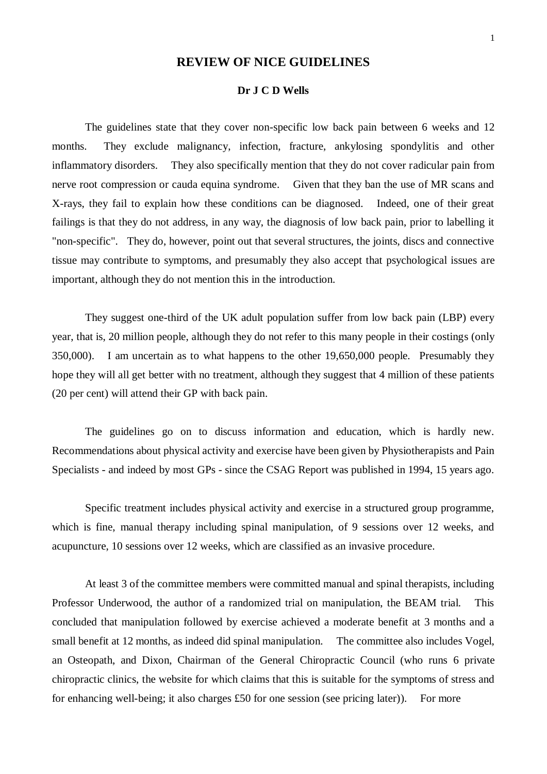# **REVIEW OF NICE GUIDELINES**

## **Dr J C D Wells**

The guidelines state that they cover non-specific low back pain between 6 weeks and 12 months. They exclude malignancy, infection, fracture, ankylosing spondylitis and other inflammatory disorders. They also specifically mention that they do not cover radicular pain from nerve root compression or cauda equina syndrome. Given that they ban the use of MR scans and X-rays, they fail to explain how these conditions can be diagnosed. Indeed, one of their great failings is that they do not address, in any way, the diagnosis of low back pain, prior to labelling it "non-specific". They do, however, point out that several structures, the joints, discs and connective tissue may contribute to symptoms, and presumably they also accept that psychological issues are important, although they do not mention this in the introduction.

They suggest one-third of the UK adult population suffer from low back pain (LBP) every year, that is, 20 million people, although they do not refer to this many people in their costings (only 350,000). I am uncertain as to what happens to the other 19,650,000 people. Presumably they hope they will all get better with no treatment, although they suggest that 4 million of these patients (20 per cent) will attend their GP with back pain.

The guidelines go on to discuss information and education, which is hardly new. Recommendations about physical activity and exercise have been given by Physiotherapists and Pain Specialists - and indeed by most GPs - since the CSAG Report was published in 1994, 15 years ago.

Specific treatment includes physical activity and exercise in a structured group programme, which is fine, manual therapy including spinal manipulation, of 9 sessions over 12 weeks, and acupuncture, 10 sessions over 12 weeks, which are classified as an invasive procedure.

At least 3 of the committee members were committed manual and spinal therapists, including Professor Underwood, the author of a randomized trial on manipulation, the BEAM trial. This concluded that manipulation followed by exercise achieved a moderate benefit at 3 months and a small benefit at 12 months, as indeed did spinal manipulation. The committee also includes Vogel, an Osteopath, and Dixon, Chairman of the General Chiropractic Council (who runs 6 private chiropractic clinics, the website for which claims that this is suitable for the symptoms of stress and for enhancing well-being; it also charges £50 for one session (see pricing later)). For more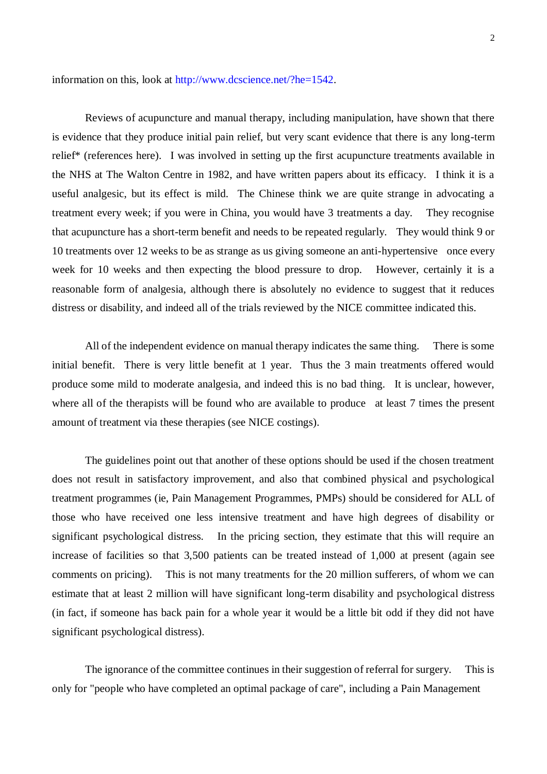information on this, look at http://www.dcscience.net/?he=1542.

Reviews of acupuncture and manual therapy, including manipulation, have shown that there is evidence that they produce initial pain relief, but very scant evidence that there is any long-term relief\* (references here). I was involved in setting up the first acupuncture treatments available in the NHS at The Walton Centre in 1982, and have written papers about its efficacy. I think it is a useful analgesic, but its effect is mild. The Chinese think we are quite strange in advocating a treatment every week; if you were in China, you would have 3 treatments a day. They recognise that acupuncture has a short-term benefit and needs to be repeated regularly. They would think 9 or 10 treatments over 12 weeks to be as strange as us giving someone an anti-hypertensive once every week for 10 weeks and then expecting the blood pressure to drop. However, certainly it is a reasonable form of analgesia, although there is absolutely no evidence to suggest that it reduces distress or disability, and indeed all of the trials reviewed by the NICE committee indicated this.

All of the independent evidence on manual therapy indicates the same thing. There is some initial benefit. There is very little benefit at 1 year. Thus the 3 main treatments offered would produce some mild to moderate analgesia, and indeed this is no bad thing. It is unclear, however, where all of the therapists will be found who are available to produce at least 7 times the present amount of treatment via these therapies (see NICE costings).

The guidelines point out that another of these options should be used if the chosen treatment does not result in satisfactory improvement, and also that combined physical and psychological treatment programmes (ie, Pain Management Programmes, PMPs) should be considered for ALL of those who have received one less intensive treatment and have high degrees of disability or significant psychological distress. In the pricing section, they estimate that this will require an increase of facilities so that 3,500 patients can be treated instead of 1,000 at present (again see comments on pricing). This is not many treatments for the 20 million sufferers, of whom we can estimate that at least 2 million will have significant long-term disability and psychological distress (in fact, if someone has back pain for a whole year it would be a little bit odd if they did not have significant psychological distress).

The ignorance of the committee continues in their suggestion of referral for surgery. This is only for "people who have completed an optimal package of care", including a Pain Management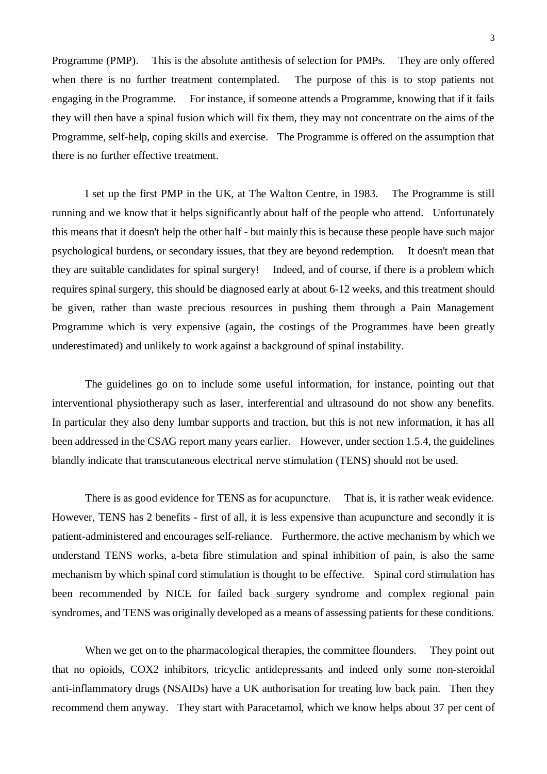Programme (PMP). This is the absolute antithesis of selection for PMPs. They are only offered when there is no further treatment contemplated. The purpose of this is to stop patients not engaging in the Programme. For instance, if someone attends a Programme, knowing that if it fails they will then have a spinal fusion which will fix them, they may not concentrate on the aims of the Programme, self-help, coping skills and exercise. The Programme is offered on the assumption that there is no further effective treatment.

I set up the first PMP in the UK, at The Walton Centre, in 1983. The Programme is still running and we know that it helps significantly about half of the people who attend. Unfortunately this means that it doesn't help the other half - but mainly this is because these people have such major psychological burdens, or secondary issues, that they are beyond redemption. It doesn't mean that they are suitable candidates for spinal surgery! Indeed, and of course, if there is a problem which requires spinal surgery, this should be diagnosed early at about 6-12 weeks, and this treatment should be given, rather than waste precious resources in pushing them through a Pain Management Programme which is very expensive (again, the costings of the Programmes have been greatly underestimated) and unlikely to work against a background of spinal instability.

The guidelines go on to include some useful information, for instance, pointing out that interventional physiotherapy such as laser, interferential and ultrasound do not show any benefits. In particular they also deny lumbar supports and traction, but this is not new information, it has all been addressed in the CSAG report many years earlier. However, under section 1.5.4, the guidelines blandly indicate that transcutaneous electrical nerve stimulation (TENS) should not be used.

There is as good evidence for TENS as for acupuncture. That is, it is rather weak evidence. However, TENS has 2 benefits - first of all, it is less expensive than acupuncture and secondly it is patient-administered and encourages self-reliance. Furthermore, the active mechanism by which we understand TENS works, a-beta fibre stimulation and spinal inhibition of pain, is also the same mechanism by which spinal cord stimulation is thought to be effective. Spinal cord stimulation has been recommended by NICE for failed back surgery syndrome and complex regional pain syndromes, and TENS was originally developed as a means of assessing patients for these conditions.

When we get on to the pharmacological therapies, the committee flounders. They point out that no opioids, COX2 inhibitors, tricyclic antidepressants and indeed only some non-steroidal anti-inflammatory drugs (NSAIDs) have a UK authorisation for treating low back pain. Then they recommend them anyway. They start with Paracetamol, which we know helps about 37 per cent of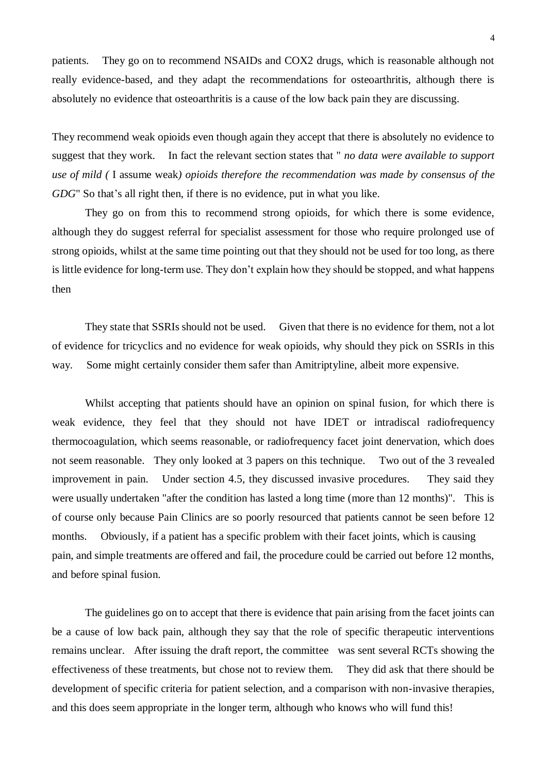patients. They go on to recommend NSAIDs and COX2 drugs, which is reasonable although not really evidence-based, and they adapt the recommendations for osteoarthritis, although there is absolutely no evidence that osteoarthritis is a cause of the low back pain they are discussing.

They recommend weak opioids even though again they accept that there is absolutely no evidence to suggest that they work. In fact the relevant section states that " *no data were available to support use of mild (* I assume weak*) opioids therefore the recommendation was made by consensus of the GDG*" So that's all right then, if there is no evidence, put in what you like.

They go on from this to recommend strong opioids, for which there is some evidence, although they do suggest referral for specialist assessment for those who require prolonged use of strong opioids, whilst at the same time pointing out that they should not be used for too long, as there is little evidence for long-term use. They don't explain how they should be stopped, and what happens then

They state that SSRIs should not be used. Given that there is no evidence for them, not a lot of evidence for tricyclics and no evidence for weak opioids, why should they pick on SSRIs in this way. Some might certainly consider them safer than Amitriptyline, albeit more expensive.

Whilst accepting that patients should have an opinion on spinal fusion, for which there is weak evidence, they feel that they should not have IDET or intradiscal radiofrequency thermocoagulation, which seems reasonable, or radiofrequency facet joint denervation, which does not seem reasonable. They only looked at 3 papers on this technique. Two out of the 3 revealed improvement in pain. Under section 4.5, they discussed invasive procedures. They said they were usually undertaken "after the condition has lasted a long time (more than 12 months)". This is of course only because Pain Clinics are so poorly resourced that patients cannot be seen before 12 months. Obviously, if a patient has a specific problem with their facet joints, which is causing pain, and simple treatments are offered and fail, the procedure could be carried out before 12 months, and before spinal fusion.

The guidelines go on to accept that there is evidence that pain arising from the facet joints can be a cause of low back pain, although they say that the role of specific therapeutic interventions remains unclear. After issuing the draft report, the committee was sent several RCTs showing the effectiveness of these treatments, but chose not to review them. They did ask that there should be development of specific criteria for patient selection, and a comparison with non-invasive therapies, and this does seem appropriate in the longer term, although who knows who will fund this!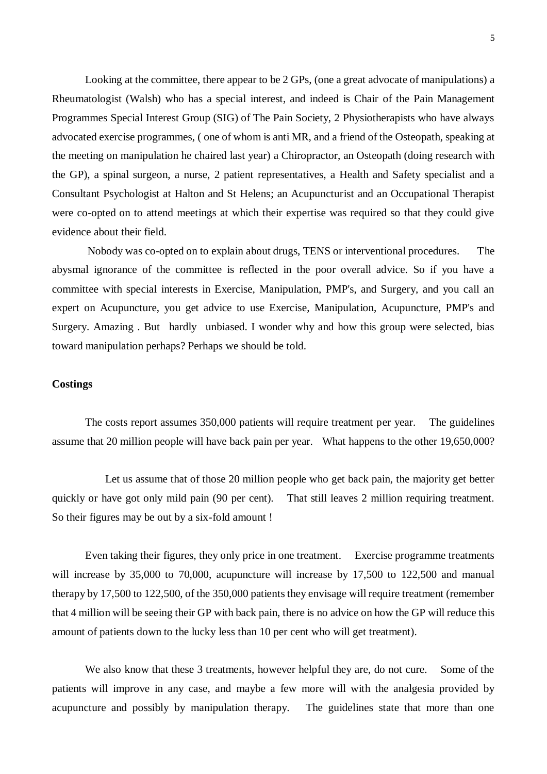Looking at the committee, there appear to be 2 GPs, (one a great advocate of manipulations) a Rheumatologist (Walsh) who has a special interest, and indeed is Chair of the Pain Management Programmes Special Interest Group (SIG) of The Pain Society, 2 Physiotherapists who have always advocated exercise programmes, ( one of whom is anti MR, and a friend of the Osteopath, speaking at the meeting on manipulation he chaired last year) a Chiropractor, an Osteopath (doing research with the GP), a spinal surgeon, a nurse, 2 patient representatives, a Health and Safety specialist and a Consultant Psychologist at Halton and St Helens; an Acupuncturist and an Occupational Therapist were co-opted on to attend meetings at which their expertise was required so that they could give evidence about their field.

 Nobody was co-opted on to explain about drugs, TENS or interventional procedures. The abysmal ignorance of the committee is reflected in the poor overall advice. So if you have a committee with special interests in Exercise, Manipulation, PMP's, and Surgery, and you call an expert on Acupuncture, you get advice to use Exercise, Manipulation, Acupuncture, PMP's and Surgery. Amazing . But hardly unbiased. I wonder why and how this group were selected, bias toward manipulation perhaps? Perhaps we should be told.

# **Costings**

The costs report assumes 350,000 patients will require treatment per year. The guidelines assume that 20 million people will have back pain per year. What happens to the other 19,650,000?

 Let us assume that of those 20 million people who get back pain, the majority get better quickly or have got only mild pain (90 per cent). That still leaves 2 million requiring treatment. So their figures may be out by a six-fold amount !

Even taking their figures, they only price in one treatment. Exercise programme treatments will increase by 35,000 to 70,000, acupuncture will increase by 17,500 to 122,500 and manual therapy by 17,500 to 122,500, of the 350,000 patients they envisage will require treatment (remember that 4 million will be seeing their GP with back pain, there is no advice on how the GP will reduce this amount of patients down to the lucky less than 10 per cent who will get treatment).

We also know that these 3 treatments, however helpful they are, do not cure. Some of the patients will improve in any case, and maybe a few more will with the analgesia provided by acupuncture and possibly by manipulation therapy. The guidelines state that more than one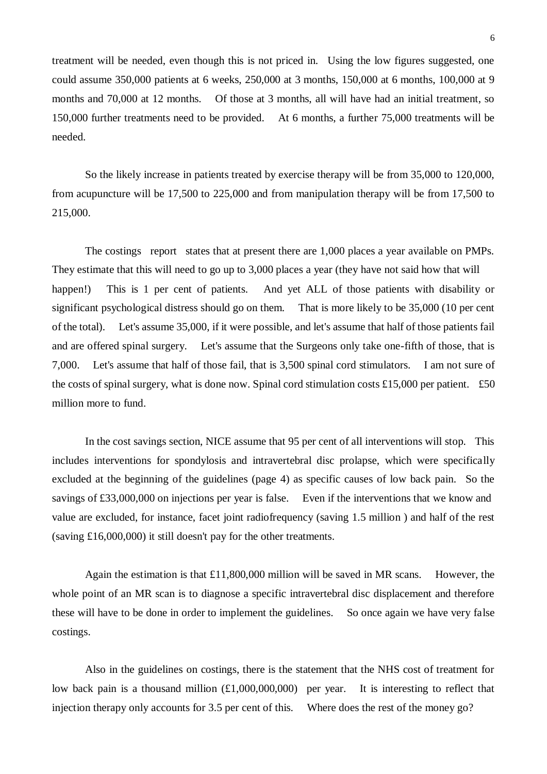treatment will be needed, even though this is not priced in. Using the low figures suggested, one could assume 350,000 patients at 6 weeks, 250,000 at 3 months, 150,000 at 6 months, 100,000 at 9 months and 70,000 at 12 months. Of those at 3 months, all will have had an initial treatment, so 150,000 further treatments need to be provided. At 6 months, a further 75,000 treatments will be needed.

So the likely increase in patients treated by exercise therapy will be from 35,000 to 120,000, from acupuncture will be 17,500 to 225,000 and from manipulation therapy will be from 17,500 to 215,000.

The costings report states that at present there are 1,000 places a year available on PMPs. They estimate that this will need to go up to 3,000 places a year (they have not said how that will happen!) This is 1 per cent of patients. And yet ALL of those patients with disability or significant psychological distress should go on them. That is more likely to be 35,000 (10 per cent of the total). Let's assume 35,000, if it were possible, and let's assume that half of those patients fail and are offered spinal surgery. Let's assume that the Surgeons only take one-fifth of those, that is 7,000. Let's assume that half of those fail, that is 3,500 spinal cord stimulators. I am not sure of the costs of spinal surgery, what is done now. Spinal cord stimulation costs £15,000 per patient. £50 million more to fund.

In the cost savings section, NICE assume that 95 per cent of all interventions will stop. This includes interventions for spondylosis and intravertebral disc prolapse, which were specifically excluded at the beginning of the guidelines (page 4) as specific causes of low back pain. So the savings of £33,000,000 on injections per year is false. Even if the interventions that we know and value are excluded, for instance, facet joint radiofrequency (saving 1.5 million ) and half of the rest (saving £16,000,000) it still doesn't pay for the other treatments.

Again the estimation is that  $£11,800,000$  million will be saved in MR scans. However, the whole point of an MR scan is to diagnose a specific intravertebral disc displacement and therefore these will have to be done in order to implement the guidelines. So once again we have very false costings.

Also in the guidelines on costings, there is the statement that the NHS cost of treatment for low back pain is a thousand million  $(\text{\textsterling}1,000,000,000)$  per year. It is interesting to reflect that injection therapy only accounts for 3.5 per cent of this. Where does the rest of the money go?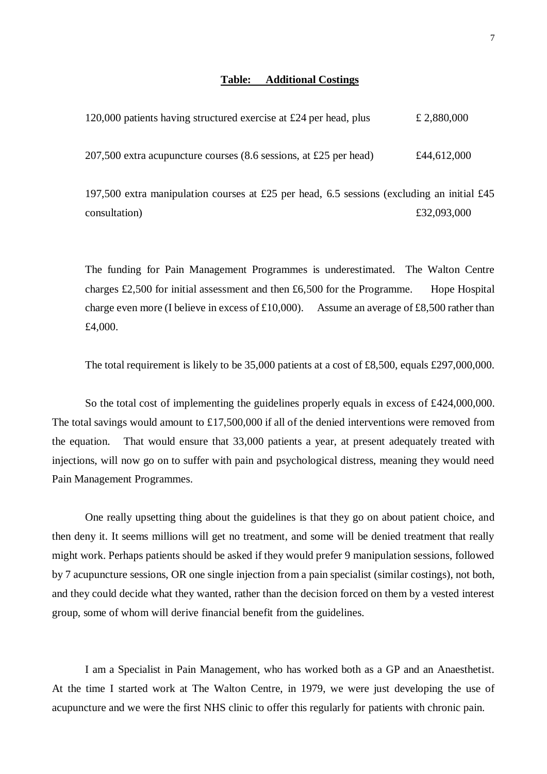### **Table: Additional Costings**

| 120,000 patients having structured exercise at £24 per head, plus   | £ 2,880,000 |
|---------------------------------------------------------------------|-------------|
| $207,500$ extra acupuncture courses (8.6 sessions, at £25 per head) | £44,612,000 |

197,500 extra manipulation courses at £25 per head, 6.5 sessions (excluding an initial £45 consultation)  $£32,093,000$ 

The funding for Pain Management Programmes is underestimated. The Walton Centre charges £2,500 for initial assessment and then £6,500 for the Programme. Hope Hospital charge even more (I believe in excess of £10,000). Assume an average of £8,500 rather than £4,000.

The total requirement is likely to be 35,000 patients at a cost of £8,500, equals £297,000,000.

So the total cost of implementing the guidelines properly equals in excess of £424,000,000. The total savings would amount to £17,500,000 if all of the denied interventions were removed from the equation. That would ensure that 33,000 patients a year, at present adequately treated with injections, will now go on to suffer with pain and psychological distress, meaning they would need Pain Management Programmes.

One really upsetting thing about the guidelines is that they go on about patient choice, and then deny it. It seems millions will get no treatment, and some will be denied treatment that really might work. Perhaps patients should be asked if they would prefer 9 manipulation sessions, followed by 7 acupuncture sessions, OR one single injection from a pain specialist (similar costings), not both, and they could decide what they wanted, rather than the decision forced on them by a vested interest group, some of whom will derive financial benefit from the guidelines.

I am a Specialist in Pain Management, who has worked both as a GP and an Anaesthetist. At the time I started work at The Walton Centre, in 1979, we were just developing the use of acupuncture and we were the first NHS clinic to offer this regularly for patients with chronic pain.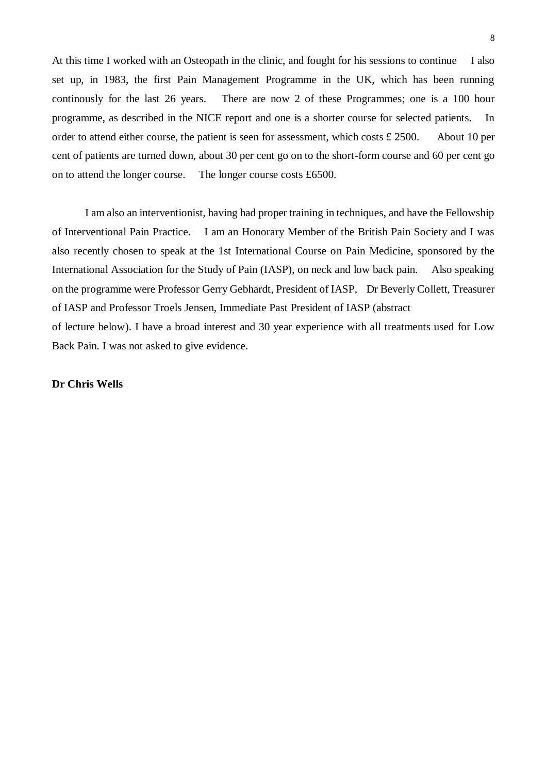At this time I worked with an Osteopath in the clinic, and fought for his sessions to continue I also set up, in 1983, the first Pain Management Programme in the UK, which has been running continously for the last 26 years. There are now 2 of these Programmes; one is a 100 hour programme, as described in the NICE report and one is a shorter course for selected patients. In order to attend either course, the patient is seen for assessment, which costs £ 2500. About 10 per cent of patients are turned down, about 30 per cent go on to the short-form course and 60 per cent go on to attend the longer course. The longer course costs £6500.

I am also an interventionist, having had proper training in techniques, and have the Fellowship of Interventional Pain Practice. I am an Honorary Member of the British Pain Society and I was also recently chosen to speak at the 1st International Course on Pain Medicine, sponsored by the International Association for the Study of Pain (IASP), on neck and low back pain. Also speaking on the programme were Professor Gerry Gebhardt, President of IASP, Dr Beverly Collett, Treasurer of IASP and Professor Troels Jensen, Immediate Past President of IASP (abstract of lecture below). I have a broad interest and 30 year experience with all treatments used for Low Back Pain. I was not asked to give evidence.

#### **Dr Chris Wells**